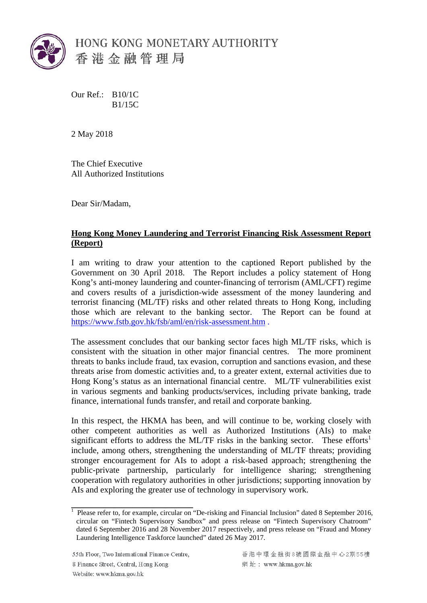

Our Ref.: B10/1C B1/15C

2 May 2018

The Chief Executive All Authorized Institutions

Dear Sir/Madam,

## **Hong Kong Money Laundering and Terrorist Financing Risk Assessment Report (Report)**

I am writing to draw your attention to the captioned Report published by the Government on 30 April 2018. The Report includes a policy statement of Hong Kong's anti-money laundering and counter-financing of terrorism (AML/CFT) regime and covers results of a jurisdiction-wide assessment of the money laundering and terrorist financing (ML/TF) risks and other related threats to Hong Kong, including those which are relevant to the banking sector. The Report can be found at https://www.fstb.gov.hk/fsb/aml/en/risk-assessment.htm .

The assessment concludes that our banking sector faces high ML/TF risks, which is consistent with the situation in other major financial centres. The more prominent threats to banks include fraud, tax evasion, corruption and sanctions evasion, and these threats arise from domestic activities and, to a greater extent, external activities due to Hong Kong's status as an international financial centre. ML/TF vulnerabilities exist in various segments and banking products/services, including private banking, trade finance, international funds transfer, and retail and corporate banking.

In this respect, the HKMA has been, and will continue to be, working closely with other competent authorities as well as Authorized Institutions (AIs) to make significant efforts to address the ML/TF risks in the banking sector. These efforts<sup>1</sup> include, among others, strengthening the understanding of ML/TF threats; providing stronger encouragement for AIs to adopt a risk-based approach; strengthening the public-private partnership, particularly for intelligence sharing; strengthening cooperation with regulatory authorities in other jurisdictions; supporting innovation by AIs and exploring the greater use of technology in supervisory work.

55th Floor, Two International Finance Centre, 8 Finance Street, Central, Hong Kong Website: www.hkma.gov.hk

\_\_\_\_\_\_\_\_\_\_\_\_\_\_\_\_\_\_\_\_\_\_\_\_\_\_\_\_\_\_\_\_\_\_

 dated 6 September 2016 and 28 November 2017 respectively, and press release on "Fraud and Money  $\overline{1}$  Please refer to, for example, circular on "De-risking and Financial Inclusion" dated 8 September 2016, circular on "Fintech Supervisory Sandbox" and press release on "Fintech Supervisory Chatroom" Laundering Intelligence Taskforce launched" dated 26 May 2017.